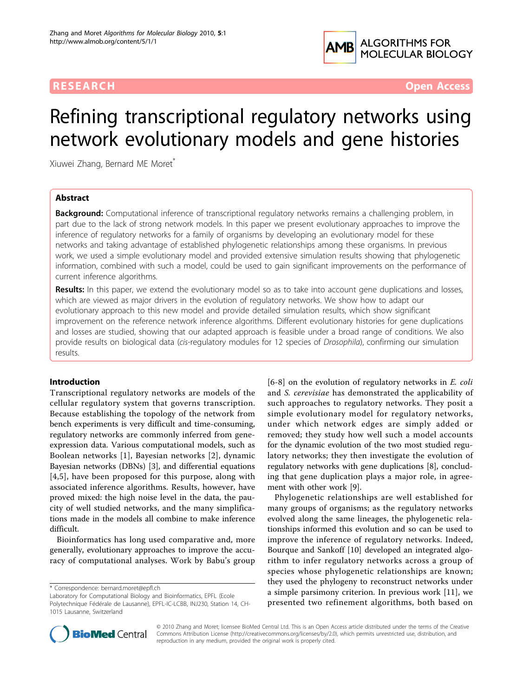

RESEARCH **CONTROLLER CONTROLLER CONTROLLER CONTROLLER CONTROLLER CONTROLLER CONTROLLER CONTROLLER CONTROLLER CONTROLLER CONTROLLER CONTROLLER CONTROLLER CONTROLLER CONTROLLER CONTROLLER CONTROLLER CONTROLLER CONTROLLER CON** 

# Refining transcriptional regulatory networks using network evolutionary models and gene histories

Xiuwei Zhang, Bernard ME Moret<sup>\*</sup>

# Abstract

**Background:** Computational inference of transcriptional regulatory networks remains a challenging problem, in part due to the lack of strong network models. In this paper we present evolutionary approaches to improve the inference of regulatory networks for a family of organisms by developing an evolutionary model for these networks and taking advantage of established phylogenetic relationships among these organisms. In previous work, we used a simple evolutionary model and provided extensive simulation results showing that phylogenetic information, combined with such a model, could be used to gain significant improvements on the performance of current inference algorithms.

Results: In this paper, we extend the evolutionary model so as to take into account gene duplications and losses, which are viewed as major drivers in the evolution of regulatory networks. We show how to adapt our evolutionary approach to this new model and provide detailed simulation results, which show significant improvement on the reference network inference algorithms. Different evolutionary histories for gene duplications and losses are studied, showing that our adapted approach is feasible under a broad range of conditions. We also provide results on biological data (cis-regulatory modules for 12 species of Drosophila), confirming our simulation results.

# Introduction

Transcriptional regulatory networks are models of the cellular regulatory system that governs transcription. Because establishing the topology of the network from bench experiments is very difficult and time-consuming, regulatory networks are commonly inferred from geneexpression data. Various computational models, such as Boolean networks [[1](#page-10-0)], Bayesian networks [\[2\]](#page-10-0), dynamic Bayesian networks (DBNs) [\[3](#page-10-0)], and differential equations [[4,5\]](#page-10-0), have been proposed for this purpose, along with associated inference algorithms. Results, however, have proved mixed: the high noise level in the data, the paucity of well studied networks, and the many simplifications made in the models all combine to make inference difficult.

Bioinformatics has long used comparative and, more generally, evolutionary approaches to improve the accuracy of computational analyses. Work by Babu's group

\* Correspondence: [bernard.moret@epfl.ch](mailto:bernard.moret@epfl.ch)

[[6](#page-10-0)-[8\]](#page-10-0) on the evolution of regulatory networks in *E. coli* and S. cerevisiae has demonstrated the applicability of such approaches to regulatory networks. They posit a simple evolutionary model for regulatory networks, under which network edges are simply added or removed; they study how well such a model accounts for the dynamic evolution of the two most studied regulatory networks; they then investigate the evolution of regulatory networks with gene duplications [\[8](#page-10-0)], concluding that gene duplication plays a major role, in agreement with other work [[9\]](#page-10-0).

Phylogenetic relationships are well established for many groups of organisms; as the regulatory networks evolved along the same lineages, the phylogenetic relationships informed this evolution and so can be used to improve the inference of regulatory networks. Indeed, Bourque and Sankoff [[10\]](#page-10-0) developed an integrated algorithm to infer regulatory networks across a group of species whose phylogenetic relationships are known; they used the phylogeny to reconstruct networks under a simple parsimony criterion. In previous work [[11\]](#page-10-0), we presented two refinement algorithms, both based on



© 2010 Zhang and Moret; licensee BioMed Central Ltd. This is an Open Access article distributed under the terms of the Creative Commons Attribution License [\(http://creativecommons.org/licenses/by/2.0](http://creativecommons.org/licenses/by/2.0)), which permits unrestricted use, distribution, and reproduction in any medium, provided the original work is properly cited.

Laboratory for Computational Biology and Bioinformatics, EPFL (Ecole Polytechnique Fédérale de Lausanne), EPFL-IC-LCBB, INJ230, Station 14, CH-1015 Lausanne, Switzerland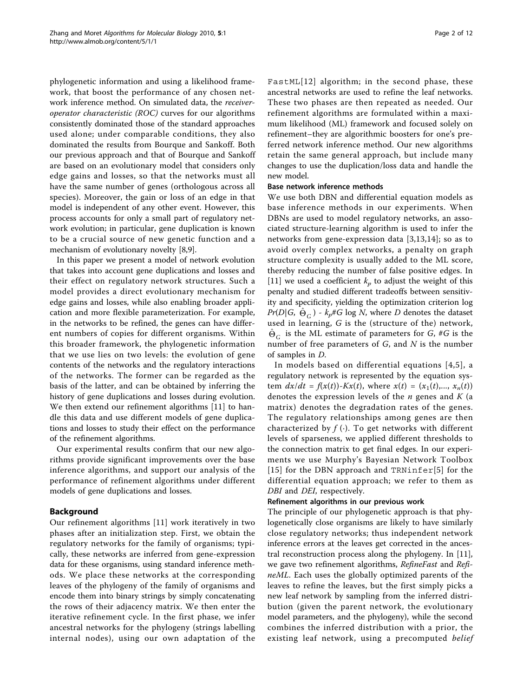phylogenetic information and using a likelihood framework, that boost the performance of any chosen network inference method. On simulated data, the receiveroperator characteristic (ROC) curves for our algorithms consistently dominated those of the standard approaches used alone; under comparable conditions, they also dominated the results from Bourque and Sankoff. Both our previous approach and that of Bourque and Sankoff are based on an evolutionary model that considers only edge gains and losses, so that the networks must all have the same number of genes (orthologous across all species). Moreover, the gain or loss of an edge in that model is independent of any other event. However, this process accounts for only a small part of regulatory network evolution; in particular, gene duplication is known to be a crucial source of new genetic function and a mechanism of evolutionary novelty [[8,9\]](#page-10-0).

In this paper we present a model of network evolution that takes into account gene duplications and losses and their effect on regulatory network structures. Such a model provides a direct evolutionary mechanism for edge gains and losses, while also enabling broader application and more flexible parameterization. For example, in the networks to be refined, the genes can have different numbers of copies for different organisms. Within this broader framework, the phylogenetic information that we use lies on two levels: the evolution of gene contents of the networks and the regulatory interactions of the networks. The former can be regarded as the basis of the latter, and can be obtained by inferring the history of gene duplications and losses during evolution. We then extend our refinement algorithms [[11](#page-10-0)] to handle this data and use different models of gene duplications and losses to study their effect on the performance of the refinement algorithms.

Our experimental results confirm that our new algorithms provide significant improvements over the base inference algorithms, and support our analysis of the performance of refinement algorithms under different models of gene duplications and losses.

# Background

Our refinement algorithms [[11\]](#page-10-0) work iteratively in two phases after an initialization step. First, we obtain the regulatory networks for the family of organisms; typically, these networks are inferred from gene-expression data for these organisms, using standard inference methods. We place these networks at the corresponding leaves of the phylogeny of the family of organisms and encode them into binary strings by simply concatenating the rows of their adjacency matrix. We then enter the iterative refinement cycle. In the first phase, we infer ancestral networks for the phylogeny (strings labelling internal nodes), using our own adaptation of the

FastML[[12\]](#page-10-0) algorithm; in the second phase, these ancestral networks are used to refine the leaf networks. These two phases are then repeated as needed. Our refinement algorithms are formulated within a maximum likelihood (ML) framework and focused solely on refinement–they are algorithmic boosters for one's preferred network inference method. Our new algorithms retain the same general approach, but include many changes to use the duplication/loss data and handle the new model.

#### Base network inference methods

We use both DBN and differential equation models as base inference methods in our experiments. When DBNs are used to model regulatory networks, an associated structure-learning algorithm is used to infer the networks from gene-expression data [[3,13,14](#page-10-0)]; so as to avoid overly complex networks, a penalty on graph structure complexity is usually added to the ML score, thereby reducing the number of false positive edges. In [[11\]](#page-10-0) we used a coefficient  $k_p$  to adjust the weight of this penalty and studied different tradeoffs between sensitivity and specificity, yielding the optimization criterion log  $Pr(D|G, \hat{\Theta}_C)$  -  $k_p#G$  log N, where D denotes the dataset used in learning, G is the (structure of the) network,  $\hat{\Theta}_C$  is the ML estimate of parameters for G, #G is the number of free parameters of  $G$ , and  $N$  is the number of samples in D.

In models based on differential equations [[4](#page-10-0),[5](#page-10-0)], a regulatory network is represented by the equation system  $dx/dt = f(x(t))$ -Kx(t), where  $x(t) = (x_1(t),..., x_n(t))$ denotes the expression levels of the *n* genes and  $K$  (a matrix) denotes the degradation rates of the genes. The regulatory relationships among genes are then characterized by  $f(\cdot)$ . To get networks with different levels of sparseness, we applied different thresholds to the connection matrix to get final edges. In our experiments we use Murphy's Bayesian Network Toolbox [[15](#page-10-0)] for the DBN approach and TRNinfer[[5](#page-10-0)] for the differential equation approach; we refer to them as DBI and DEI, respectively.

# Refinement algorithms in our previous work

The principle of our phylogenetic approach is that phylogenetically close organisms are likely to have similarly close regulatory networks; thus independent network inference errors at the leaves get corrected in the ancestral reconstruction process along the phylogeny. In [\[11](#page-10-0)], we gave two refinement algorithms, RefineFast and RefineML. Each uses the globally optimized parents of the leaves to refine the leaves, but the first simply picks a new leaf network by sampling from the inferred distribution (given the parent network, the evolutionary model parameters, and the phylogeny), while the second combines the inferred distribution with a prior, the existing leaf network, using a precomputed belief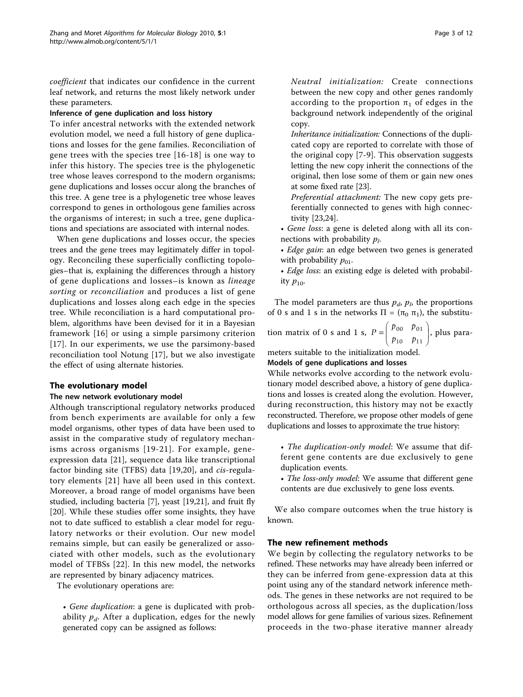coefficient that indicates our confidence in the current leaf network, and returns the most likely network under these parameters.

#### Inference of gene duplication and loss history

To infer ancestral networks with the extended network evolution model, we need a full history of gene duplications and losses for the gene families. Reconciliation of gene trees with the species tree [\[16-18](#page-10-0)] is one way to infer this history. The species tree is the phylogenetic tree whose leaves correspond to the modern organisms; gene duplications and losses occur along the branches of this tree. A gene tree is a phylogenetic tree whose leaves correspond to genes in orthologous gene families across the organisms of interest; in such a tree, gene duplications and speciations are associated with internal nodes.

When gene duplications and losses occur, the species trees and the gene trees may legitimately differ in topology. Reconciling these superficially conflicting topologies–that is, explaining the differences through a history of gene duplications and losses–is known as lineage sorting or reconciliation and produces a list of gene duplications and losses along each edge in the species tree. While reconciliation is a hard computational problem, algorithms have been devised for it in a Bayesian framework [[16\]](#page-10-0) or using a simple parsimony criterion [[17](#page-10-0)]. In our experiments, we use the parsimony-based reconciliation tool Notung [[17\]](#page-10-0), but we also investigate the effect of using alternate histories.

# The evolutionary model

# The new network evolutionary model

Although transcriptional regulatory networks produced from bench experiments are available for only a few model organisms, other types of data have been used to assist in the comparative study of regulatory mechanisms across organisms [[19-21](#page-10-0)]. For example, geneexpression data [[21](#page-10-0)], sequence data like transcriptional factor binding site (TFBS) data [[19,20\]](#page-10-0), and cis-regulatory elements [[21](#page-10-0)] have all been used in this context. Moreover, a broad range of model organisms have been studied, including bacteria [\[7](#page-10-0)], yeast [\[19,21](#page-10-0)], and fruit fly [[20\]](#page-10-0). While these studies offer some insights, they have not to date sufficed to establish a clear model for regulatory networks or their evolution. Our new model remains simple, but can easily be generalized or associated with other models, such as the evolutionary model of TFBSs [[22](#page-10-0)]. In this new model, the networks are represented by binary adjacency matrices.

The evolutionary operations are:

• Gene duplication: a gene is duplicated with probability  $p_d$ . After a duplication, edges for the newly generated copy can be assigned as follows:

Neutral initialization: Create connections between the new copy and other genes randomly according to the proportion  $\pi_1$  of edges in the background network independently of the original copy.

Inheritance initialization: Connections of the duplicated copy are reported to correlate with those of the original copy [[7-9](#page-10-0)]. This observation suggests letting the new copy inherit the connections of the original, then lose some of them or gain new ones at some fixed rate [\[23\]](#page-11-0).

Preferential attachment: The new copy gets preferentially connected to genes with high connectivity [\[23,24\]](#page-11-0).

• Gene loss: a gene is deleted along with all its connections with probability  $p_l$ .

• *Edge gain*: an edge between two genes is generated with probability  $p_{01}$ .

• Edge loss: an existing edge is deleted with probability  $p_{10}$ .

The model parameters are thus  $p_d$ ,  $p_l$ , the proportions of 0 s and 1 s in the networks  $\Pi = (\pi_0 \pi_1)$ , the substitu-

tion matrix of 0 s and 1 s,  $P = \begin{pmatrix} p_{00} & p \\ p_{10} & p \end{pmatrix}$  $\begin{pmatrix} p_{00} & p_{01} \\ p_{01} & p_{02} \end{pmatrix}$  $\overline{\phantom{a}}$  $v_{10}$   $p_{01}$ <br> $v_{10}$   $p_{11}$ , plus para-

meters suitable to the initialization model.

# Models of gene duplications and losses

While networks evolve according to the network evolutionary model described above, a history of gene duplications and losses is created along the evolution. However, during reconstruction, this history may not be exactly reconstructed. Therefore, we propose other models of gene duplications and losses to approximate the true history:

• The duplication-only model: We assume that different gene contents are due exclusively to gene duplication events.

• The loss-only model: We assume that different gene contents are due exclusively to gene loss events.

We also compare outcomes when the true history is known.

# The new refinement methods

We begin by collecting the regulatory networks to be refined. These networks may have already been inferred or they can be inferred from gene-expression data at this point using any of the standard network inference methods. The genes in these networks are not required to be orthologous across all species, as the duplication/loss model allows for gene families of various sizes. Refinement proceeds in the two-phase iterative manner already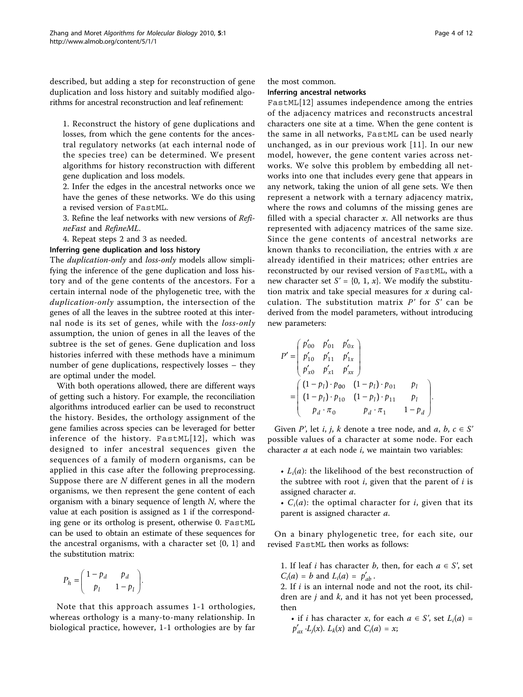described, but adding a step for reconstruction of gene duplication and loss history and suitably modified algorithms for ancestral reconstruction and leaf refinement:

1. Reconstruct the history of gene duplications and losses, from which the gene contents for the ancestral regulatory networks (at each internal node of the species tree) can be determined. We present algorithms for history reconstruction with different gene duplication and loss models.

2. Infer the edges in the ancestral networks once we have the genes of these networks. We do this using a revised version of FastML.

3. Refine the leaf networks with new versions of RefineFast and RefineML.

4. Repeat steps 2 and 3 as needed.

Inferring gene duplication and loss history

The *duplication-only* and *loss-only* models allow simplifying the inference of the gene duplication and loss history and of the gene contents of the ancestors. For a certain internal node of the phylogenetic tree, with the duplication-only assumption, the intersection of the genes of all the leaves in the subtree rooted at this internal node is its set of genes, while with the loss-only assumption, the union of genes in all the leaves of the subtree is the set of genes. Gene duplication and loss histories inferred with these methods have a minimum number of gene duplications, respectively losses – they are optimal under the model.

With both operations allowed, there are different ways of getting such a history. For example, the reconciliation algorithms introduced earlier can be used to reconstruct the history. Besides, the orthology assignment of the gene families across species can be leveraged for better inference of the history. FastML[[12](#page-10-0)], which was designed to infer ancestral sequences given the sequences of a family of modern organisms, can be applied in this case after the following preprocessing. Suppose there are  $N$  different genes in all the modern organisms, we then represent the gene content of each organism with a binary sequence of length N, where the value at each position is assigned as 1 if the corresponding gene or its ortholog is present, otherwise 0. FastML can be used to obtain an estimate of these sequences for the ancestral organisms, with a character set {0, 1} and the substitution matrix:

$$
P_h = \begin{pmatrix} 1 - p_d & p_d \\ p_l & 1 - p_l \end{pmatrix}.
$$

Note that this approach assumes 1-1 orthologies, whereas orthology is a many-to-many relationship. In biological practice, however, 1-1 orthologies are by far the most common.

#### Inferring ancestral networks

FastML[[12](#page-10-0)] assumes independence among the entries of the adjacency matrices and reconstructs ancestral characters one site at a time. When the gene content is the same in all networks, FastML can be used nearly unchanged, as in our previous work [[11](#page-10-0)]. In our new model, however, the gene content varies across networks. We solve this problem by embedding all networks into one that includes every gene that appears in any network, taking the union of all gene sets. We then represent a network with a ternary adjacency matrix, where the rows and columns of the missing genes are filled with a special character  $x$ . All networks are thus represented with adjacency matrices of the same size. Since the gene contents of ancestral networks are known thanks to reconciliation, the entries with  $x$  are already identified in their matrices; other entries are reconstructed by our revised version of FastML, with a new character set  $S' = \{0, 1, x\}$ . We modify the substitution matrix and take special measures for  $x$  during calculation. The substitution matrix  $P'$  for  $S'$  can be derived from the model parameters, without introducing new parameters:

$$
P' = \begin{pmatrix} p'_{00} & p'_{01} & p'_{0x} \\ p'_{10} & p'_{11} & p'_{1x} \\ p'_{x0} & p'_{x1} & p'_{xx} \end{pmatrix}
$$
  
= 
$$
\begin{pmatrix} (1-p_l) \cdot p_{00} & (1-p_l) \cdot p_{01} & p_l \\ (1-p_l) \cdot p_{10} & (1-p_l) \cdot p_{11} & p_l \\ p_d \cdot \pi_0 & p_d \cdot \pi_1 & 1-p_d \end{pmatrix}.
$$

Given P', let i, j, k denote a tree node, and a, b,  $c \in S'$ possible values of a character at some node. For each character  $a$  at each node  $i$ , we maintain two variables:

•  $L_i(a)$ : the likelihood of the best reconstruction of the subtree with root  $i$ , given that the parent of  $i$  is assigned character a.

•  $C_i(a)$ : the optimal character for *i*, given that its parent is assigned character a.

On a binary phylogenetic tree, for each site, our revised FastML then works as follows:

1. If leaf *i* has character *b*, then, for each  $a \in S'$ , set  $C_i(a) = b$  and  $L_i(a) = p'_{ab}$ .

2. If  $i$  is an internal node and not the root, its children are  $j$  and  $k$ , and it has not yet been processed, then

• if *i* has character *x*, for each  $a \in S'$ , set  $L_i(a) =$  $p'_{ax} \cdot L_j(x)$ .  $L_k(x)$  and  $C_i(a) = x;$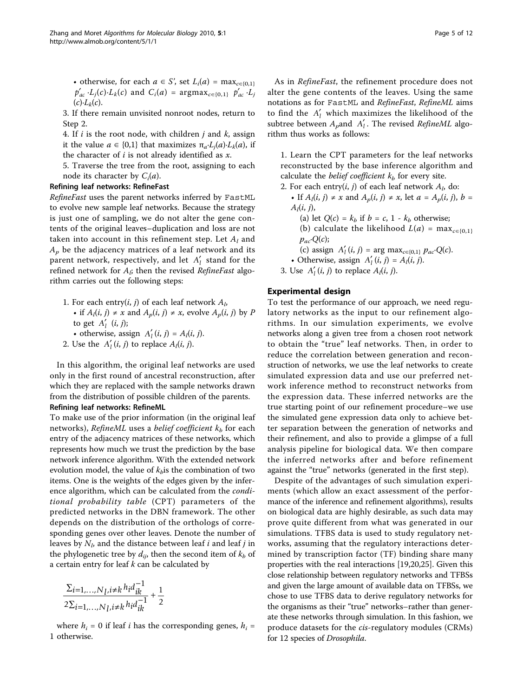• otherwise, for each  $a \in S'$ , set  $L_i(a) = \max_{c \in \{0,1\}}$  $p'_{ac} \cdot L_j(c) \cdot L_k(c)$  and  $C_i(a) = \text{argmax}_{c \in \{0,1\}} \ p'_{ac} \cdot L_j(c)$  $(c) \cdot L_{k}(c)$ .

3. If there remain unvisited nonroot nodes, return to Step 2.

4. If i is the root node, with children  $j$  and  $k$ , assign it the value  $a \in \{0,1\}$  that maximizes  $\pi_{a}L_{i}(a)L_{k}(a)$ , if the character of  $i$  is not already identified as  $x$ .

5. Traverse the tree from the root, assigning to each node its character by  $C_i(a)$ .

#### Refining leaf networks: RefineFast

RefineFast uses the parent networks inferred by FastML to evolve new sample leaf networks. Because the strategy is just one of sampling, we do not alter the gene contents of the original leaves–duplication and loss are not taken into account in this refinement step. Let  $A_l$  and  $A_p$  be the adjacency matrices of a leaf network and its parent network, respectively, and let  $A'_l$  stand for the refined network for  $A_i$ ; then the revised RefineFast algorithm carries out the following steps:

- 1. For each entry(*i*, *j*) of each leaf network  $A<sub>b</sub>$ • if  $A_l(i, j) \neq x$  and  $A_p(i, j) \neq x$ , evolve  $A_p(i, j)$  by P to get  $A'_l$   $(i, j)$ ;
- otherwise, assign  $A'_l(i, j) = A_l(i, j)$ .
- 2. Use the  $A'_l(i, j)$  to replace  $A_l(i, j)$ .

In this algorithm, the original leaf networks are used only in the first round of ancestral reconstruction, after which they are replaced with the sample networks drawn from the distribution of possible children of the parents. Refining leaf networks: RefineML

To make use of the prior information (in the original leaf networks), RefineML uses a belief coefficient  $k_b$  for each entry of the adjacency matrices of these networks, which represents how much we trust the prediction by the base network inference algorithm. With the extended network evolution model, the value of  $k_b$  is the combination of two items. One is the weights of the edges given by the inference algorithm, which can be calculated from the conditional probability table (CPT) parameters of the predicted networks in the DBN framework. The other depends on the distribution of the orthologs of corresponding genes over other leaves. Denote the number of leaves by  $N_l$ , and the distance between leaf i and leaf j in the phylogenetic tree by  $d_{ii}$ , then the second item of  $k_b$  of a certain entry for leaf  $k$  can be calculated by

$$
\frac{\sum_{i=1,...,N}^{ }_{i,i \neq k} h_{i} d_{ik}^{-1}}{2 \sum_{i=1,...,N}^{ }_{i,i \neq k} h_{i} d_{ik}^{-1}} + \frac{1}{2}
$$

where  $h_i = 0$  if leaf i has the corresponding genes,  $h_i =$ 1 otherwise.

As in RefineFast, the refinement procedure does not alter the gene contents of the leaves. Using the same notations as for FastML and RefineFast, RefineML aims to find the  $A'_l$  which maximizes the likelihood of the subtree between  $A_p$  and  $A'_l$ . The revised *RefineML* algorithm thus works as follows:

1. Learn the CPT parameters for the leaf networks reconstructed by the base inference algorithm and calculate the *belief coefficient*  $k_b$  for every site.

2. For each entry(*i*, *j*) of each leaf network  $A<sub>b</sub>$  do: • If  $A_i(i, j) \neq x$  and  $A_i(i, j) \neq x$ , let  $a = A_i(i, j)$ ,  $b =$  $A_l(i, j)$ ,

(a) let  $Q(c) = k_b$  if  $b = c, 1 - k_b$  otherwise;

(b) calculate the likelihood  $L(a) = \max_{c \in \{0,1\}}$  $p_{ac} \cdot Q(c)$ ;

(c) assign  $A'_{l}(i, j) = \arg \max_{c \in \{0, 1\}} p_{ac} \cdot Q(c)$ .

- Otherwise, assign  $A'_l(i, j) = A_l(i, j)$ .
- 3. Use  $A'_l(i, j)$  to replace  $A_l(i, j)$ .

# Experimental design

To test the performance of our approach, we need regulatory networks as the input to our refinement algorithms. In our simulation experiments, we evolve networks along a given tree from a chosen root network to obtain the "true" leaf networks. Then, in order to reduce the correlation between generation and reconstruction of networks, we use the leaf networks to create simulated expression data and use our preferred network inference method to reconstruct networks from the expression data. These inferred networks are the true starting point of our refinement procedure–we use the simulated gene expression data only to achieve better separation between the generation of networks and their refinement, and also to provide a glimpse of a full analysis pipeline for biological data. We then compare the inferred networks after and before refinement against the "true" networks (generated in the first step).

Despite of the advantages of such simulation experiments (which allow an exact assessment of the performance of the inference and refinement algorithms), results on biological data are highly desirable, as such data may prove quite different from what was generated in our simulations. TFBS data is used to study regulatory networks, assuming that the regulatory interactions determined by transcription factor (TF) binding share many properties with the real interactions [[19](#page-10-0),[20](#page-10-0)[,25](#page-11-0)]. Given this close relationship between regulatory networks and TFBSs and given the large amount of available data on TFBSs, we chose to use TFBS data to derive regulatory networks for the organisms as their "true" networks–rather than generate these networks through simulation. In this fashion, we produce datasets for the cis-regulatory modules (CRMs) for 12 species of Drosophila.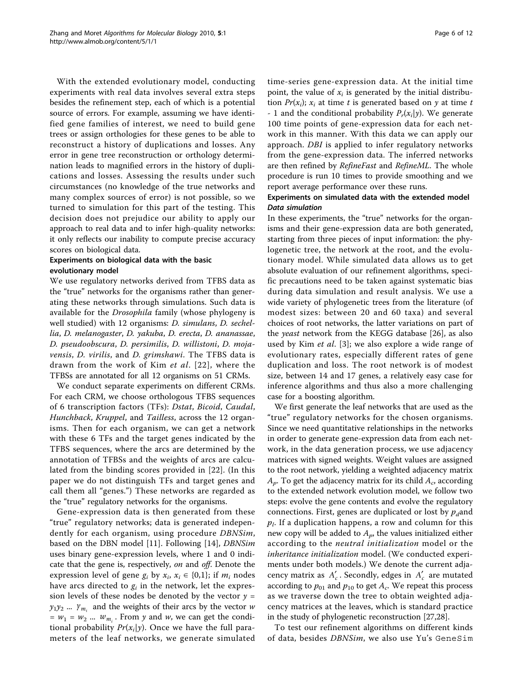With the extended evolutionary model, conducting experiments with real data involves several extra steps besides the refinement step, each of which is a potential source of errors. For example, assuming we have identified gene families of interest, we need to build gene trees or assign orthologies for these genes to be able to reconstruct a history of duplications and losses. Any error in gene tree reconstruction or orthology determination leads to magnified errors in the history of duplications and losses. Assessing the results under such circumstances (no knowledge of the true networks and many complex sources of error) is not possible, so we turned to simulation for this part of the testing. This decision does not prejudice our ability to apply our approach to real data and to infer high-quality networks: it only reflects our inability to compute precise accuracy scores on biological data.

# Experiments on biological data with the basic evolutionary model

We use regulatory networks derived from TFBS data as the "true" networks for the organisms rather than generating these networks through simulations. Such data is available for the *Drosophila* family (whose phylogeny is well studied) with 12 organisms: D. simulans, D. sechellia, D. melanogaster, D. yakuba, D. erecta, D. ananassae, D. pseudoobscura, D. persimilis, D. willistoni, D. mojavensis, D. virilis, and D. grimshawi. The TFBS data is drawn from the work of Kim et al. [[22\]](#page-10-0), where the TFBSs are annotated for all 12 organisms on 51 CRMs.

We conduct separate experiments on different CRMs. For each CRM, we choose orthologous TFBS sequences of 6 transcription factors (TFs): Dstat, Bicoid, Caudal, Hunchback, Kruppel, and Tailless, across the 12 organisms. Then for each organism, we can get a network with these 6 TFs and the target genes indicated by the TFBS sequences, where the arcs are determined by the annotation of TFBSs and the weights of arcs are calculated from the binding scores provided in [[22\]](#page-10-0). (In this paper we do not distinguish TFs and target genes and call them all "genes.") These networks are regarded as the "true" regulatory networks for the organisms.

Gene-expression data is then generated from these "true" regulatory networks; data is generated independently for each organism, using procedure DBNSim, based on the DBN model [[11\]](#page-10-0). Following [[14\]](#page-10-0), DBNSim uses binary gene-expression levels, where 1 and 0 indicate that the gene is, respectively, on and off. Denote the expression level of gene  $g_i$  by  $x_i$ ,  $x_i \in \{0,1\}$ ; if  $m_i$  nodes have arcs directed to  $g_i$  in the network, let the expression levels of these nodes be denoted by the vector  $y =$  $y_1 y_2 ... y_{m_i}$  and the weights of their arcs by the vector w  $= w_1 = w_2 ... w_{m_i}$ . From y and w, we can get the conditional probability  $Pr(x_i|y)$ . Once we have the full parameters of the leaf networks, we generate simulated time-series gene-expression data. At the initial time point, the value of  $x_i$  is generated by the initial distribution  $Pr(x_i)$ ;  $x_i$  at time t is generated based on y at time t - 1 and the conditional probability  $P_r(x_i|y)$ . We generate 100 time points of gene-expression data for each network in this manner. With this data we can apply our approach. DBI is applied to infer regulatory networks from the gene-expression data. The inferred networks are then refined by RefineFast and RefineML. The whole procedure is run 10 times to provide smoothing and we report average performance over these runs.

#### Experiments on simulated data with the extended model Data simulation

In these experiments, the "true" networks for the organisms and their gene-expression data are both generated, starting from three pieces of input information: the phylogenetic tree, the network at the root, and the evolutionary model. While simulated data allows us to get absolute evaluation of our refinement algorithms, specific precautions need to be taken against systematic bias during data simulation and result analysis. We use a wide variety of phylogenetic trees from the literature (of modest sizes: between 20 and 60 taxa) and several choices of root networks, the latter variations on part of the yeast network from the KEGG database [[26](#page-11-0)], as also used by Kim et al. [[3\]](#page-10-0); we also explore a wide range of evolutionary rates, especially different rates of gene duplication and loss. The root network is of modest size, between 14 and 17 genes, a relatively easy case for inference algorithms and thus also a more challenging case for a boosting algorithm.

We first generate the leaf networks that are used as the "true" regulatory networks for the chosen organisms. Since we need quantitative relationships in the networks in order to generate gene-expression data from each network, in the data generation process, we use adjacency matrices with signed weights. Weight values are assigned to the root network, yielding a weighted adjacency matrix  $A_p$ . To get the adjacency matrix for its child  $A_c$ , according to the extended network evolution model, we follow two steps: evolve the gene contents and evolve the regulatory connections. First, genes are duplicated or lost by  $p_d$  and  $p_l$ . If a duplication happens, a row and column for this new copy will be added to  $A_p$ , the values initialized either according to the neutral initialization model or the inheritance initialization model. (We conducted experiments under both models.) We denote the current adjacency matrix as  $A'_c$ . Secondly, edges in  $A'_c$  are mutated according to  $p_{01}$  and  $p_{10}$  to get  $A_c$ . We repeat this process as we traverse down the tree to obtain weighted adjacency matrices at the leaves, which is standard practice in the study of phylogenetic reconstruction [\[27,28](#page-11-0)].

To test our refinement algorithms on different kinds of data, besides DBNSim, we also use Yu's GeneSim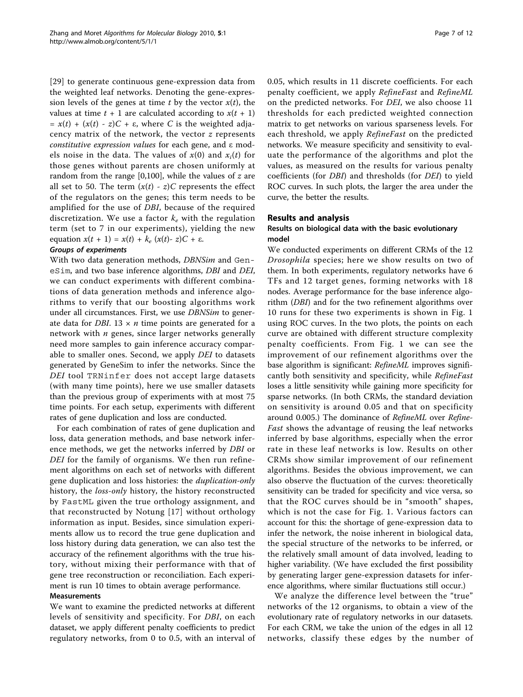[[29](#page-11-0)] to generate continuous gene-expression data from the weighted leaf networks. Denoting the gene-expression levels of the genes at time  $t$  by the vector  $x(t)$ , the values at time  $t + 1$  are calculated according to  $x(t + 1)$ =  $x(t) + (x(t) - z)C + \varepsilon$ , where C is the weighted adjacency matrix of the network, the vector  $z$  represents constitutive expression values for each gene, and ε models noise in the data. The values of  $x(0)$  and  $x_i(t)$  for those genes without parents are chosen uniformly at random from the range  $[0,100]$ , while the values of  $z$  are all set to 50. The term  $(x(t) - z)C$  represents the effect of the regulators on the genes; this term needs to be amplified for the use of DBI, because of the required discretization. We use a factor  $k_e$  with the regulation term (set to 7 in our experiments), yielding the new equation  $x(t + 1) = x(t) + k_e (x(t) - z)C + \varepsilon$ .

#### Groups of experiments

With two data generation methods, DBNSim and GeneSim, and two base inference algorithms, DBI and DEI, we can conduct experiments with different combinations of data generation methods and inference algorithms to verify that our boosting algorithms work under all circumstances. First, we use DBNSim to generate data for *DBI*. 13  $\times$  *n* time points are generated for a network with  $n$  genes, since larger networks generally need more samples to gain inference accuracy comparable to smaller ones. Second, we apply DEI to datasets generated by GeneSim to infer the networks. Since the DEI tool TRNinfer does not accept large datasets (with many time points), here we use smaller datasets than the previous group of experiments with at most 75 time points. For each setup, experiments with different rates of gene duplication and loss are conducted.

For each combination of rates of gene duplication and loss, data generation methods, and base network inference methods, we get the networks inferred by DBI or DEI for the family of organisms. We then run refinement algorithms on each set of networks with different gene duplication and loss histories: the duplication-only history, the loss-only history, the history reconstructed by FastML given the true orthology assignment, and that reconstructed by Notung [[17\]](#page-10-0) without orthology information as input. Besides, since simulation experiments allow us to record the true gene duplication and loss history during data generation, we can also test the accuracy of the refinement algorithms with the true history, without mixing their performance with that of gene tree reconstruction or reconciliation. Each experiment is run 10 times to obtain average performance.

# Measurements

We want to examine the predicted networks at different levels of sensitivity and specificity. For DBI, on each dataset, we apply different penalty coefficients to predict regulatory networks, from 0 to 0.5, with an interval of Page 7 of 12

0.05, which results in 11 discrete coefficients. For each penalty coefficient, we apply RefineFast and RefineML on the predicted networks. For DEI, we also choose 11 thresholds for each predicted weighted connection matrix to get networks on various sparseness levels. For each threshold, we apply RefineFast on the predicted networks. We measure specificity and sensitivity to evaluate the performance of the algorithms and plot the values, as measured on the results for various penalty coefficients (for DBI) and thresholds (for DEI) to yield ROC curves. In such plots, the larger the area under the curve, the better the results.

# Results and analysis

# Results on biological data with the basic evolutionary model

We conducted experiments on different CRMs of the 12 Drosophila species; here we show results on two of them. In both experiments, regulatory networks have 6 TFs and 12 target genes, forming networks with 18 nodes. Average performance for the base inference algorithm (DBI) and for the two refinement algorithms over 10 runs for these two experiments is shown in Fig. [1](#page-7-0) using ROC curves. In the two plots, the points on each curve are obtained with different structure complexity penalty coefficients. From Fig. [1](#page-7-0) we can see the improvement of our refinement algorithms over the base algorithm is significant: RefineML improves significantly both sensitivity and specificity, while RefineFast loses a little sensitivity while gaining more specificity for sparse networks. (In both CRMs, the standard deviation on sensitivity is around 0.05 and that on specificity around 0.005.) The dominance of RefineML over Refine-Fast shows the advantage of reusing the leaf networks inferred by base algorithms, especially when the error rate in these leaf networks is low. Results on other CRMs show similar improvement of our refinement algorithms. Besides the obvious improvement, we can also observe the fluctuation of the curves: theoretically sensitivity can be traded for specificity and vice versa, so that the ROC curves should be in "smooth" shapes, which is not the case for Fig. [1.](#page-7-0) Various factors can account for this: the shortage of gene-expression data to infer the network, the noise inherent in biological data, the special structure of the networks to be inferred, or the relatively small amount of data involved, leading to higher variability. (We have excluded the first possibility by generating larger gene-expression datasets for inference algorithms, where similar fluctuations still occur.)

We analyze the difference level between the "true" networks of the 12 organisms, to obtain a view of the evolutionary rate of regulatory networks in our datasets. For each CRM, we take the union of the edges in all 12 networks, classify these edges by the number of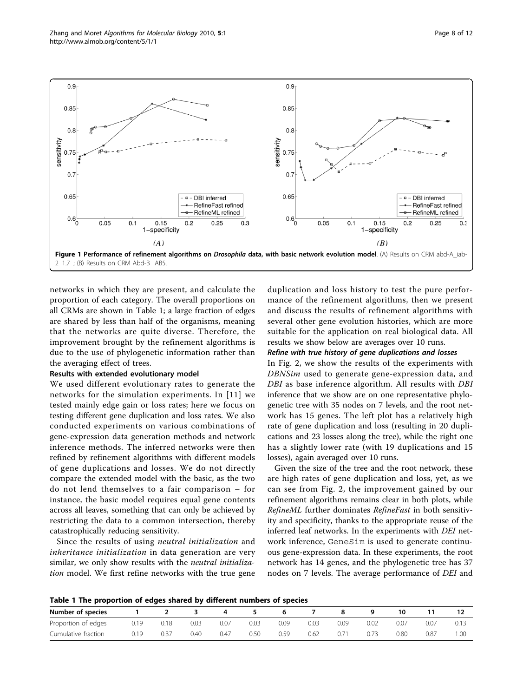<span id="page-7-0"></span>

networks in which they are present, and calculate the proportion of each category. The overall proportions on all CRMs are shown in Table 1; a large fraction of edges are shared by less than half of the organisms, meaning that the networks are quite diverse. Therefore, the improvement brought by the refinement algorithms is due to the use of phylogenetic information rather than the averaging effect of trees.

#### Results with extended evolutionary model

We used different evolutionary rates to generate the networks for the simulation experiments. In [[11\]](#page-10-0) we tested mainly edge gain or loss rates; here we focus on testing different gene duplication and loss rates. We also conducted experiments on various combinations of gene-expression data generation methods and network inference methods. The inferred networks were then refined by refinement algorithms with different models of gene duplications and losses. We do not directly compare the extended model with the basic, as the two do not lend themselves to a fair comparison – for instance, the basic model requires equal gene contents across all leaves, something that can only be achieved by restricting the data to a common intersection, thereby catastrophically reducing sensitivity.

Since the results of using neutral initialization and inheritance initialization in data generation are very similar, we only show results with the neutral initialization model. We first refine networks with the true gene

duplication and loss history to test the pure performance of the refinement algorithms, then we present and discuss the results of refinement algorithms with several other gene evolution histories, which are more suitable for the application on real biological data. All results we show below are averages over 10 runs.

#### Refine with true history of gene duplications and losses

In Fig. [2](#page-8-0), we show the results of the experiments with DBNSim used to generate gene-expression data, and DBI as base inference algorithm. All results with DBI inference that we show are on one representative phylogenetic tree with 35 nodes on 7 levels, and the root network has 15 genes. The left plot has a relatively high rate of gene duplication and loss (resulting in 20 duplications and 23 losses along the tree), while the right one has a slightly lower rate (with 19 duplications and 15 losses), again averaged over 10 runs.

Given the size of the tree and the root network, these are high rates of gene duplication and loss, yet, as we can see from Fig. [2,](#page-8-0) the improvement gained by our refinement algorithms remains clear in both plots, while RefineML further dominates RefineFast in both sensitivity and specificity, thanks to the appropriate reuse of the inferred leaf networks. In the experiments with DEI network inference, GeneSim is used to generate continuous gene-expression data. In these experiments, the root network has 14 genes, and the phylogenetic tree has 37 nodes on 7 levels. The average performance of DEI and

Table 1 The proportion of edges shared by different numbers of species

| _______<br>--------- |      |      |      |      |      |                   |      |      |      |      |      |      |
|----------------------|------|------|------|------|------|-------------------|------|------|------|------|------|------|
| Number of species    |      |      |      |      |      |                   |      |      |      |      |      |      |
| Proportion of edges  | 0.19 | 0.18 | 0.03 | 0.07 | 0.03 | 0.09 <sub>1</sub> | 0.03 | 0.09 | 0.02 | 0.07 | 0.07 |      |
| Cumulative fraction  | J.19 |      | 0.40 | J.47 | J.50 | 0.59              | 0.62 | 0.71 |      | 0.80 | 0.87 | 1.00 |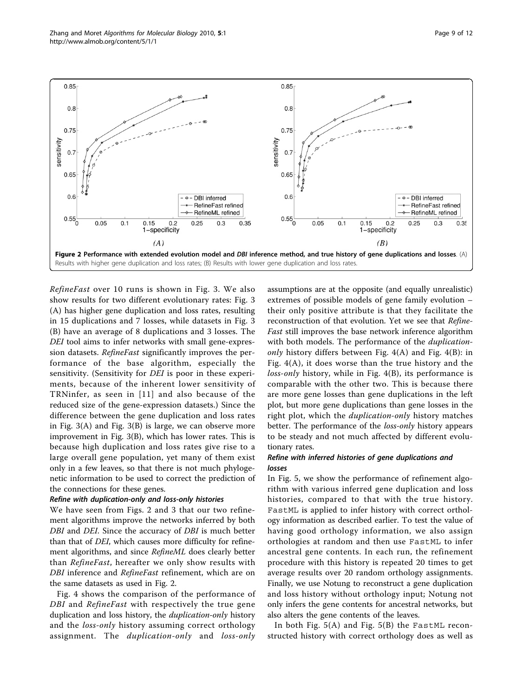<span id="page-8-0"></span>Zhang and Moret Algorithms for Molecular Biology 2010, <sup>5</sup>:1 http://www.almob.org/content/5/1/1



RefineFast over 10 runs is shown in Fig. [3](#page-9-0). We also show results for two different evolutionary rates: Fig. [3](#page-9-0) [\(A\)](#page-9-0) has higher gene duplication and loss rates, resulting in 15 duplications and 7 losses, while datasets in Fig. [3](#page-9-0) [\(B\)](#page-9-0) have an average of 8 duplications and 3 losses. The DEI tool aims to infer networks with small gene-expression datasets. RefineFast significantly improves the performance of the base algorithm, especially the sensitivity. (Sensitivity for DEI is poor in these experiments, because of the inherent lower sensitivity of TRNinfer, as seen in [[11](#page-10-0)] and also because of the reduced size of the gene-expression datasets.) Since the difference between the gene duplication and loss rates in Fig. [3\(A\)](#page-9-0) and Fig. [3\(B\)](#page-9-0) is large, we can observe more improvement in Fig. [3\(B\)](#page-9-0), which has lower rates. This is because high duplication and loss rates give rise to a large overall gene population, yet many of them exist only in a few leaves, so that there is not much phylogenetic information to be used to correct the prediction of the connections for these genes.

#### Refine with duplication-only and loss-only histories

We have seen from Figs. 2 and [3](#page-9-0) that our two refinement algorithms improve the networks inferred by both DBI and DEI. Since the accuracy of DBI is much better than that of DEI, which causes more difficulty for refinement algorithms, and since RefineML does clearly better than RefineFast, hereafter we only show results with DBI inference and RefineFast refinement, which are on the same datasets as used in Fig. 2.

Fig. [4](#page-9-0) shows the comparison of the performance of DBI and RefineFast with respectively the true gene duplication and loss history, the duplication-only history and the loss-only history assuming correct orthology assignment. The duplication-only and loss-only

assumptions are at the opposite (and equally unrealistic) extremes of possible models of gene family evolution – their only positive attribute is that they facilitate the reconstruction of that evolution. Yet we see that Refine-Fast still improves the base network inference algorithm with both models. The performance of the *duplicationonly* history differs between Fig.  $4(A)$  and Fig.  $4(B)$ : in Fig.  $4(A)$ , it does worse than the true history and the *loss-only* history, while in Fig.  $4(B)$ , its performance is comparable with the other two. This is because there are more gene losses than gene duplications in the left plot, but more gene duplications than gene losses in the right plot, which the duplication-only history matches better. The performance of the *loss-only* history appears to be steady and not much affected by different evolutionary rates.

#### Refine with inferred histories of gene duplications and losses

In Fig. [5](#page-10-0), we show the performance of refinement algorithm with various inferred gene duplication and loss histories, compared to that with the true history. FastML is applied to infer history with correct orthology information as described earlier. To test the value of having good orthology information, we also assign orthologies at random and then use FastML to infer ancestral gene contents. In each run, the refinement procedure with this history is repeated 20 times to get average results over 20 random orthology assignments. Finally, we use Notung to reconstruct a gene duplication and loss history without orthology input; Notung not only infers the gene contents for ancestral networks, but also alters the gene contents of the leaves.

In both Fig.  $5(A)$  and Fig.  $5(B)$  the FastML reconstructed history with correct orthology does as well as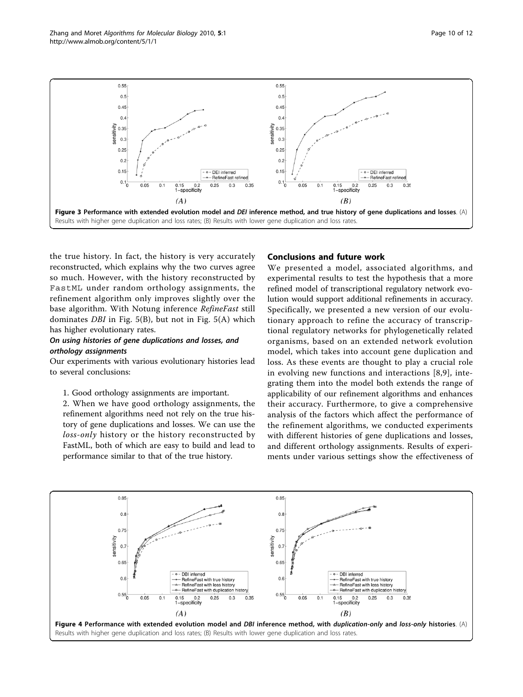the true history. In fact, the history is very accurately reconstructed, which explains why the two curves agree so much. However, with the history reconstructed by FastML under random orthology assignments, the refinement algorithm only improves slightly over the base algorithm. With Notung inference RefineFast still dominates DBI in Fig. [5\(B\),](#page-10-0) but not in Fig. [5\(A\)](#page-10-0) which has higher evolutionary rates.

# On using histories of gene duplications and losses, and orthology assignments

Our experiments with various evolutionary histories lead to several conclusions:

#### 1. Good orthology assignments are important.

2. When we have good orthology assignments, the refinement algorithms need not rely on the true history of gene duplications and losses. We can use the loss-only history or the history reconstructed by FastML, both of which are easy to build and lead to performance similar to that of the true history.

#### Conclusions and future work

We presented a model, associated algorithms, and experimental results to test the hypothesis that a more refined model of transcriptional regulatory network evolution would support additional refinements in accuracy. Specifically, we presented a new version of our evolutionary approach to refine the accuracy of transcriptional regulatory networks for phylogenetically related organisms, based on an extended network evolution model, which takes into account gene duplication and loss. As these events are thought to play a crucial role in evolving new functions and interactions [[8,9](#page-10-0)], integrating them into the model both extends the range of applicability of our refinement algorithms and enhances their accuracy. Furthermore, to give a comprehensive analysis of the factors which affect the performance of the refinement algorithms, we conducted experiments with different histories of gene duplications and losses, and different orthology assignments. Results of experiments under various settings show the effectiveness of



<span id="page-9-0"></span>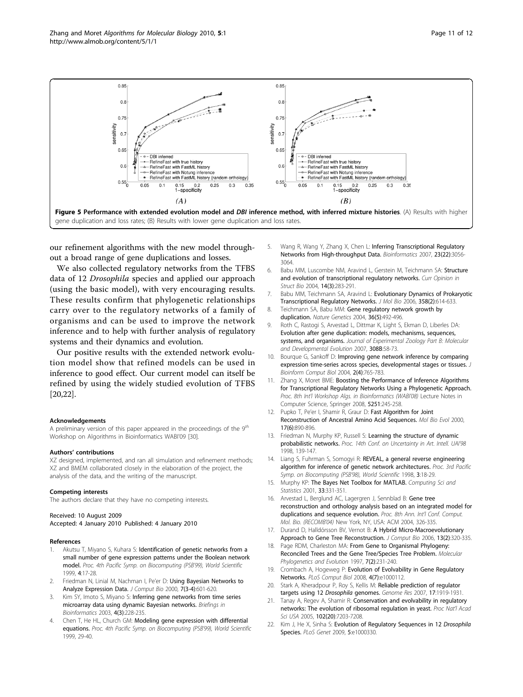<span id="page-10-0"></span>Zhang and Moret Algorithms for Molecular Biology 2010, <sup>5</sup>:1 http://www.almob.org/content/5/1/1



our refinement algorithms with the new model throughout a broad range of gene duplications and losses.

We also collected regulatory networks from the TFBS data of 12 Drosophila species and applied our approach (using the basic model), with very encouraging results. These results confirm that phylogenetic relationships carry over to the regulatory networks of a family of organisms and can be used to improve the network inference and to help with further analysis of regulatory systems and their dynamics and evolution.

Our positive results with the extended network evolution model show that refined models can be used in inference to good effect. Our current model can itself be refined by using the widely studied evolution of TFBS [20,22].

#### Acknowledgements

A preliminary version of this paper appeared in the proceedings of the  $9<sup>th</sup>$ Workshop on Algorithms in Bioinformatics WABI'09 [\[30](#page-11-0)].

#### Authors' contributions

XZ designed, implemented, and ran all simulation and refinement methods; XZ and BMEM collaborated closely in the elaboration of the project, the analysis of the data, and the writing of the manuscript.

#### Competing interests

The authors declare that they have no competing interests.

#### Received: 10 August 2009

Accepted: 4 January 2010 Published: 4 January 2010

#### References

- 1. Akutsu T, Miyano S, Kuhara S: Identification of genetic networks from a small number of gene expression patterns under the Boolean network model. Proc. 4th Pacific Symp. on Biocomputing (PSB'99), World Scientific 1999, 4:17-28.
- Friedman N, Linial M, Nachman I, Pe'er D: Using Bayesian Networks to Analyze Expression Data. J Comput Bio 2000, 7(3-4):601-620.
- 3. Kim SY, Imoto S, Miyano S: [Inferring gene networks from time series](http://www.ncbi.nlm.nih.gov/pubmed/14582517?dopt=Abstract) [microarray data using dynamic Bayesian networks.](http://www.ncbi.nlm.nih.gov/pubmed/14582517?dopt=Abstract) Briefings in Bioinformatics 2003, 4(3):228-235.
- Chen T, He HL, Church GM: Modeling gene expression with differential equations. Proc. 4th Pacific Symp. on Biocomputing (PSB'99), World Scientific 1999, 29-40.
- 5. Wang R, Wang Y, Zhang X, Chen L: [Inferring Transcriptional Regulatory](http://www.ncbi.nlm.nih.gov/pubmed/17890736?dopt=Abstract) [Networks from High-throughput Data.](http://www.ncbi.nlm.nih.gov/pubmed/17890736?dopt=Abstract) Bioinformatics 2007, 23(22):3056- 3064.
- 6. Babu MM, Luscombe NM, Aravind L, Gerstein M, Teichmann SA: Structure and evolution of transcriptional regulatory networks. Curr Opinion in Struct Bio 2004, 14(3):283-291.
- 7. Babu MM, Teichmann SA, Aravind L: Evolutionary Dynamics of Prokaryotic Transcriptional Regulatory Networks. J Mol Bio 2006, 358(2):614-633.
- 8. Teichmann SA, Babu MM: [Gene regulatory network growth by](http://www.ncbi.nlm.nih.gov/pubmed/15107850?dopt=Abstract) [duplication.](http://www.ncbi.nlm.nih.gov/pubmed/15107850?dopt=Abstract) Nature Genetics 2004, 36(5):492-496.
- 9. Roth C, Rastogi S, Arvestad L, Dittmar K, Light S, Ekman D, Liberles DA: Evolution after gene duplication: models, mechanisms, sequences, systems, and organisms. Journal of Experimental Zoology Part B: Molecular and Developmental Evolution 2007, 308B:58-73.
- 10. Bourque G, Sankoff D: [Improving gene network inference by comparing](http://www.ncbi.nlm.nih.gov/pubmed/15617165?dopt=Abstract) [expression time-series across species, developmental stages or tissues.](http://www.ncbi.nlm.nih.gov/pubmed/15617165?dopt=Abstract) J Bioinform Comput Biol 2004, 2(4):765-783.
- 11. Zhang X, Moret BME: Boosting the Performance of Inference Algorithms for Transcriptional Regulatory Networks Using a Phylogenetic Approach. Proc. 8th Int'l Workshop Algs. in Bioinformatics (WABI'08) Lecture Notes in Computer Science, Springer 2008, 5251:245-258.
- 12. Pupko T, Pe'er J, Shamir R, Graur D: Fast Algorithm for Joint Reconstruction of Ancestral Amino Acid Sequences. Mol Bio Evol 2000, 17(6):890-896.
- 13. Friedman N, Murphy KP, Russell S: Learning the structure of dynamic probabilistic networks. Proc. 14th Conf. on Uncertainty in Art. Intell. UAI'98 1998, 139-147.
- 14. Liang S, Fuhrman S, Somogyi R: REVEAL, a general reverse engineering algorithm for inference of genetic network architectures. Proc. 3rd Pacific Symp. on Biocomputing (PSB'98), World Scientific 1998, 3:18-29.
- 15. Murphy KP: The Bayes Net Toolbox for MATLAB. Computing Sci and Statistics 2001, 33:331-351.
- 16. Arvestad L, Berglund AC, Lagergren J, Sennblad B: Gene tree reconstruction and orthology analysis based on an integrated model for duplications and sequence evolution. Proc. 8th Ann. Int'l Conf. Comput. Mol. Bio. (RECOMB'04) New York, NY, USA: ACM 2004, 326-335.
- 17. Durand D, Halldórsson BV, Vernot B: A Hybrid Micro-Macroevolutionary Approach to Gene Tree Reconstruction. J Comput Bio 2006, 13(2):320-335.
- 18. Page RDM, Charleston MA: [From Gene to Organismal Phylogeny:](http://www.ncbi.nlm.nih.gov/pubmed/9126565?dopt=Abstract) [Reconciled Trees and the Gene Tree/Species Tree Problem.](http://www.ncbi.nlm.nih.gov/pubmed/9126565?dopt=Abstract) Molecular Phylogenetics and Evolution 1997, 7(2):231-240.
- 19. Crombach A, Hogeweg P: [Evolution of Evolvability in Gene Regulatory](http://www.ncbi.nlm.nih.gov/pubmed/18617989?dopt=Abstract) [Networks.](http://www.ncbi.nlm.nih.gov/pubmed/18617989?dopt=Abstract) PLoS Comput Biol 2008, 4(7):e1000112.
- 20. Stark A, Kheradpour P, Roy S, Kellis M: [Reliable prediction of regulator](http://www.ncbi.nlm.nih.gov/pubmed/17989251?dopt=Abstract) [targets using 12](http://www.ncbi.nlm.nih.gov/pubmed/17989251?dopt=Abstract) Drosophila genomes. Genome Res 2007, <sup>17</sup>:1919-1931.
- 21. Tanay A, Regev A, Shamir R: Conservation and evolvability in regulatory networks: The evolution of ribosomal regulation in yeast. Proc Nat'l Acad Sci USA 2005, 102(20):7203-7208.
- 22. Kim J, He X, Sinha S: [Evolution of Regulatory Sequences in 12](http://www.ncbi.nlm.nih.gov/pubmed/19132088?dopt=Abstract) Drosophila [Species.](http://www.ncbi.nlm.nih.gov/pubmed/19132088?dopt=Abstract) PLoS Genet 2009, 5:e1000330.